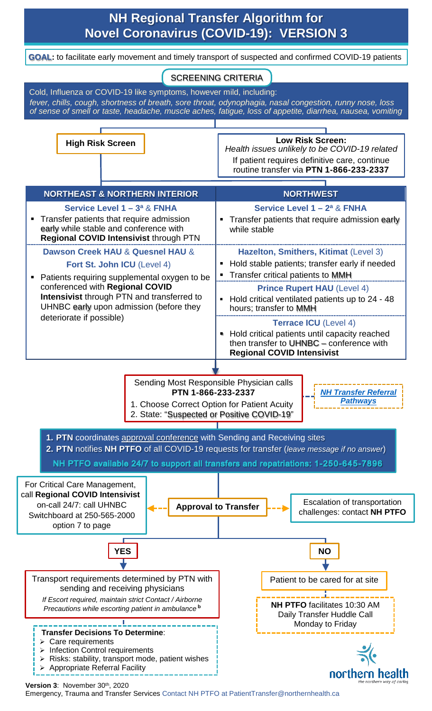## **NH Regional Transfer Algorithm for Novel Coronavirus (COVID-19): VERSION 3**

**GOAL:** to facilitate early movement and timely transport of suspected and confirmed COVID-19 patients